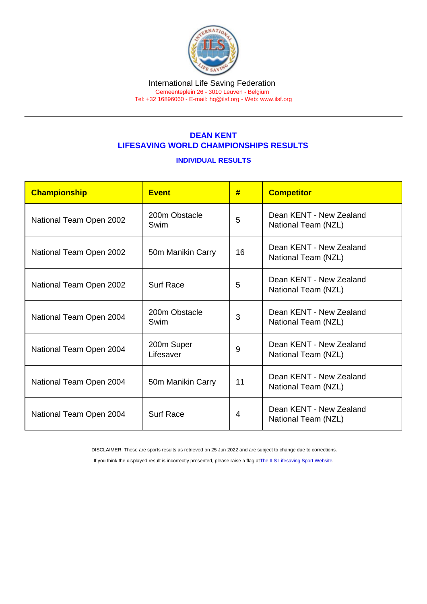#### International Life Saving Federation Gemeenteplein 26 - 3010 Leuven - Belgium

Tel: +32 16896060 - E-mail: [hq@ilsf.org](mailto:hq@ilsf.org) - Web: [www.ilsf.org](https://www.ilsf.org)

## DEAN KENT LIFESAVING WORLD CHAMPIONSHIPS RESULTS

### INDIVIDUAL RESULTS

| Championship            | <b>Event</b>            | #  | <b>Competitor</b>                              |
|-------------------------|-------------------------|----|------------------------------------------------|
| National Team Open 2002 | 200m Obstacle<br>Swim   | 5  | Dean KFNT - New Zealand<br>National Team (NZL) |
| National Team Open 2002 | 50m Manikin Carry       | 16 | Dean KFNT - New Zealand<br>National Team (NZL) |
| National Team Open 2002 | <b>Surf Race</b>        | 5  | Dean KENT - New Zealand<br>National Team (NZL) |
| National Team Open 2004 | 200m Obstacle<br>Swim   | 3  | Dean KENT - New Zealand<br>National Team (NZL) |
| National Team Open 2004 | 200m Super<br>Lifesaver | 9  | Dean KENT - New Zealand<br>National Team (NZL) |
| National Team Open 2004 | 50m Manikin Carry       | 11 | Dean KENT - New Zealand<br>National Team (NZL) |
| National Team Open 2004 | <b>Surf Race</b>        | 4  | Dean KENT - New Zealand<br>National Team (NZL) |

DISCLAIMER: These are sports results as retrieved on 25 Jun 2022 and are subject to change due to corrections.

If you think the displayed result is incorrectly presented, please raise a flag at [The ILS Lifesaving Sport Website.](https://sport.ilsf.org)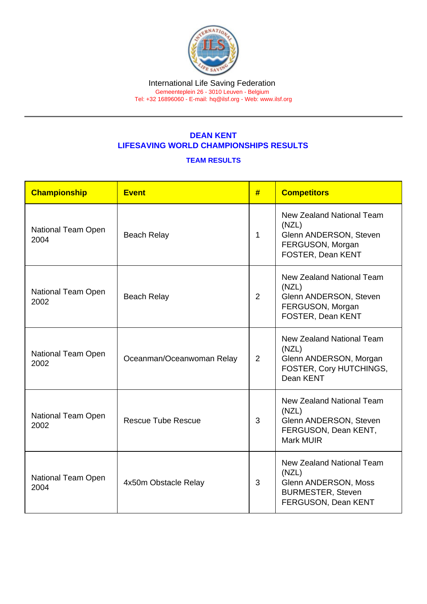#### International Life Saving Federation Gemeenteplein 26 - 3010 Leuven - Belgium

Tel: +32 16896060 - E-mail: [hq@ilsf.org](mailto:hq@ilsf.org) - Web: [www.ilsf.org](https://www.ilsf.org)

# DEAN KENT LIFESAVING WORLD CHAMPIONSHIPS RESULTS

## TEAM RESULTS

| Championship               | <b>Event</b>              | # | <b>Competitors</b>                                                                                                   |
|----------------------------|---------------------------|---|----------------------------------------------------------------------------------------------------------------------|
| National Team Open<br>2004 | <b>Beach Relay</b>        | 1 | <b>New Zealand National Team</b><br>(NZL)<br>Glenn ANDERSON, Steven<br>FERGUSON, Morgan<br>FOSTER, Dean KENT         |
| National Team Open<br>2002 | <b>Beach Relay</b>        | 2 | <b>New Zealand National Team</b><br>(NZL)<br>Glenn ANDERSON, Steven<br>FERGUSON, Morgan<br>FOSTER, Dean KENT         |
| National Team Open<br>2002 | Oceanman/Oceanwoman Relay | 2 | <b>New Zealand National Team</b><br>(NZL)<br>Glenn ANDERSON, Morgan<br>FOSTER, Cory HUTCHINGS,<br>Dean KENT          |
| National Team Open<br>2002 | <b>Rescue Tube Rescue</b> | 3 | New Zealand National Team<br>(NZL)<br>Glenn ANDERSON, Steven<br>FERGUSON, Dean KENT,<br><b>Mark MUIR</b>             |
| National Team Open<br>2004 | 4x50m Obstacle Relay      | 3 | <b>New Zealand National Team</b><br>(NZL)<br>Glenn ANDERSON, Moss<br><b>BURMESTER, Steven</b><br>FERGUSON, Dean KENT |